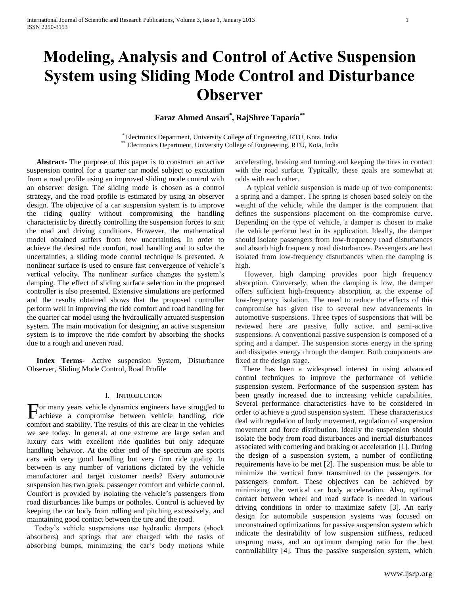# **Modeling, Analysis and Control of Active Suspension System using Sliding Mode Control and Disturbance Observer**

**Faraz Ahmed Ansari\* , RajShree Taparia\*\***

\* Electronics Department, University College of Engineering, RTU, Kota, India \*\* Electronics Department, University College of Engineering, RTU, Kota, India

 **Abstract-** The purpose of this paper is to construct an active suspension control for a quarter car model subject to excitation from a road profile using an improved sliding mode control with an observer design. The sliding mode is chosen as a control strategy, and the road profile is estimated by using an observer design. The objective of a car suspension system is to improve the riding quality without compromising the handling characteristic by directly controlling the suspension forces to suit the road and driving conditions. However, the mathematical model obtained suffers from few uncertainties. In order to achieve the desired ride comfort, road handling and to solve the uncertainties, a sliding mode control technique is presented. A nonlinear surface is used to ensure fast convergence of vehicle's vertical velocity. The nonlinear surface changes the system's damping. The effect of sliding surface selection in the proposed controller is also presented. Extensive simulations are performed and the results obtained shows that the proposed controller perform well in improving the ride comfort and road handling for the quarter car model using the hydraulically actuated suspension system. The main motivation for designing an active suspension system is to improve the ride comfort by absorbing the shocks due to a rough and uneven road.

 **Index Terms**- Active suspension System, Disturbance Observer, Sliding Mode Control, Road Profile

# I. INTRODUCTION

or many years vehicle dynamics engineers have struggled to For many years vehicle dynamics engineers have struggled to achieve a compromise between vehicle handling, ride comfort and stability. The results of this are clear in the vehicles we see today. In general, at one extreme are large sedan and luxury cars with excellent ride qualities but only adequate handling behavior. At the other end of the spectrum are sports cars with very good handling but very firm ride quality. In between is any number of variations dictated by the vehicle manufacturer and target customer needs? Every automotive suspension has two goals: passenger comfort and vehicle control. Comfort is provided by isolating the vehicle's passengers from road disturbances like bumps or potholes. Control is achieved by keeping the car body from rolling and pitching excessively, and maintaining good contact between the tire and the road.

 Today's vehicle suspensions use hydraulic dampers (shock absorbers) and springs that are charged with the tasks of absorbing bumps, minimizing the car's body motions while

accelerating, braking and turning and keeping the tires in contact with the road surface. Typically, these goals are somewhat at odds with each other.

 A typical vehicle suspension is made up of two components: a spring and a damper. The spring is chosen based solely on the weight of the vehicle, while the damper is the component that defines the suspensions placement on the compromise curve. Depending on the type of vehicle, a damper is chosen to make the vehicle perform best in its application. Ideally, the damper should isolate passengers from low-frequency road disturbances and absorb high frequency road disturbances. Passengers are best isolated from low-frequency disturbances when the damping is high.

 However, high damping provides poor high frequency absorption. Conversely, when the damping is low, the damper offers sufficient high-frequency absorption, at the expense of low-frequency isolation. The need to reduce the effects of this compromise has given rise to several new advancements in automotive suspensions. Three types of suspensions that will be reviewed here are passive, fully active, and semi-active suspensions. A conventional passive suspension is composed of a spring and a damper. The suspension stores energy in the spring and dissipates energy through the damper. Both components are fixed at the design stage.

 There has been a widespread interest in using advanced control techniques to improve the performance of vehicle suspension system. Performance of the suspension system has been greatly increased due to increasing vehicle capabilities. Several performance characteristics have to be considered in order to achieve a good suspension system. These characteristics deal with regulation of body movement, regulation of suspension movement and force distribution. Ideally the suspension should isolate the body from road disturbances and inertial disturbances associated with cornering and braking or acceleration [1]. During the design of a suspension system, a number of conflicting requirements have to be met [2]. The suspension must be able to minimize the vertical force transmitted to the passengers for passengers comfort. These objectives can be achieved by minimizing the vertical car body acceleration. Also, optimal contact between wheel and road surface is needed in various driving conditions in order to maximize safety [3]. An early design for automobile suspension systems was focused on unconstrained optimizations for passive suspension system which indicate the desirability of low suspension stiffness, reduced unsprung mass, and an optimum damping ratio for the best controllability [4]. Thus the passive suspension system, which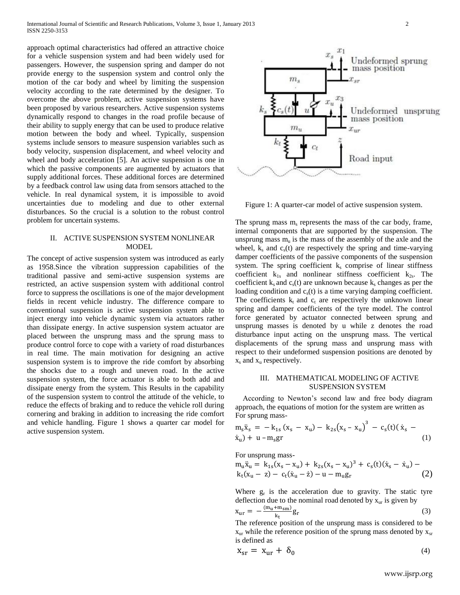approach optimal characteristics had offered an attractive choice for a vehicle suspension system and had been widely used for passengers. However, the suspension spring and damper do not provide energy to the suspension system and control only the motion of the car body and wheel by limiting the suspension velocity according to the rate determined by the designer. To overcome the above problem, active suspension systems have been proposed by various researchers. Active suspension systems dynamically respond to changes in the road profile because of their ability to supply energy that can be used to produce relative motion between the body and wheel. Typically, suspension systems include sensors to measure suspension variables such as body velocity, suspension displacement, and wheel velocity and wheel and body acceleration [5]. An active suspension is one in which the passive components are augmented by actuators that supply additional forces. These additional forces are determined by a feedback control law using data from sensors attached to the vehicle. In real dynamical system, it is impossible to avoid uncertainties due to modeling and due to other external disturbances. So the crucial is a solution to the robust control problem for uncertain systems.

# II. ACTIVE SUSPENSION SYSTEM NONLINEAR MODEL

The concept of active suspension system was introduced as early as 1958.Since the vibration suppression capabilities of the traditional passive and semi-active suspension systems are restricted, an active suspension system with additional control force to suppress the oscillations is one of the major development fields in recent vehicle industry. The difference compare to conventional suspension is active suspension system able to inject energy into vehicle dynamic system via actuators rather than dissipate energy. In active suspension system actuator are placed between the unsprung mass and the sprung mass to produce control force to cope with a variety of road disturbances in real time. The main motivation for designing an active suspension system is to improve the ride comfort by absorbing the shocks due to a rough and uneven road. In the active suspension system, the force actuator is able to both add and dissipate energy from the system. This Results in the capability of the suspension system to control the attitude of the vehicle, to reduce the effects of braking and to reduce the vehicle roll during cornering and braking in addition to increasing the ride comfort and vehicle handling. Figure 1 shows a quarter car model for active suspension system.



Figure 1: A quarter-car model of active suspension system.

The sprung mass  $m_s$  represents the mass of the car body, frame, internal components that are supported by the suspension. The unsprung mass  $m_u$  is the mass of the assembly of the axle and the wheel,  $k_s$  and  $c_s(t)$  are respectively the spring and time-varying damper coefficients of the passive components of the suspension system. The spring coefficient  $k<sub>s</sub>$  comprise of linear stiffness coefficient  $k_{1s}$  and nonlinear stiffness coefficient  $k_{2s}$ . The coefficient  $k_s$  and  $c_s(t)$  are unknown because  $k_s$  changes as per the loading condition and  $c<sub>s</sub>(t)$  is a time varying damping coefficient. The coefficients  $k_t$  and  $c_t$  are respectively the unknown linear spring and damper coefficients of the tyre model. The control force generated by actuator connected between sprung and unsprung masses is denoted by u while z denotes the road disturbance input acting on the unsprung mass. The vertical displacements of the sprung mass and unsprung mass with respect to their undeformed suspension positions are denoted by  $x_s$  and  $x_u$  respectively.

# III. MATHEMATICAL MODELING OF ACTIVE SUSPENSION SYSTEM

 According to Newton's second law and free body diagram approach, the equations of motion for the system are written as For sprung mass-

$$
m_{s}\ddot{x}_{s} = -k_{1s}(x_{s} - x_{u}) - k_{2s}(x_{s} - x_{u})^{3} - c_{s}(t)(\dot{x}_{s} - \dot{x}_{u}) + u - m_{s}gr
$$
 (1)

For unsprung mass-

$$
m_{u}\ddot{x}_{u} = k_{1s}(x_{s} - x_{u}) + k_{2s}(x_{s} - x_{u})^{3} + c_{s}(t)(\dot{x}_{s} - \dot{x}_{u}) - k_{t}(x_{u} - z) - c_{t}(\dot{x}_{u} - \dot{z}) - u - m_{u}g_{r}
$$
\n(2)

Where  $g_r$  is the acceleration due to gravity. The static tyre deflection due to the nominal road denoted by  $x_{\text{ur}}$  is given by

$$
x_{\rm ur} = -\frac{(m_{\rm u} + m_{\rm sm})}{k_{\rm t}}g_{\rm r}
$$
 (3)

The reference position of the unsprung mass is considered to be  $x_{\text{ur}}$  while the reference position of the sprung mass denoted by  $x_{\text{sr}}$ is defined as

$$
x_{sr} = x_{ur} + \delta_0 \tag{4}
$$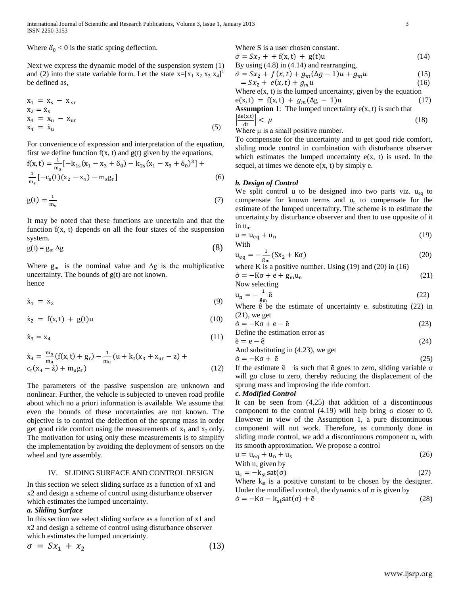Where  $\delta_0 < 0$  is the static spring deflection.

Next we express the dynamic model of the suspension system (1) and (2) into the state variable form. Let the state  $x=[x_1 x_2 x_3 x_4]^T$ be defined as,

$$
x_1 = x_s - x_{sr}
$$
  
\n
$$
x_2 = \dot{x}_s
$$
  
\n
$$
x_3 = x_u - x_{ur}
$$
  
\n
$$
x_4 = \dot{x}_u
$$
\n(5)

For convenience of expression and interpretation of the equation, first we define function  $f(x, t)$  and  $g(t)$  given by the equations,

$$
f(x,t) = \frac{1}{m_s} \left[ -k_{1s}(x_1 - x_3 + \delta_0) - k_{2s}(x_1 - x_3 + \delta_0)^3 \right] + \frac{1}{m_s} \left[ -c_s(t)(x_2 - x_4) - m_s g_r \right]
$$
(6)

$$
g(t) = \frac{1}{m_s} \tag{7}
$$

It may be noted that these functions are uncertain and that the function  $f(x, t)$  depends on all the four states of the suspension system.

$$
g(t) = g_m \Delta g \tag{8}
$$

Where  $g_m$  is the nominal value and  $\Delta g$  is the multiplicative uncertainty. The bounds of g(t) are not known. hence

$$
\dot{x}_1 = x_2 \tag{9}
$$

$$
\dot{x}_2 = f(x, t) + g(t)u \tag{10}
$$

$$
\dot{\mathbf{x}}_3 = \mathbf{x}_4 \tag{11}
$$

$$
\dot{x}_4 = \frac{m_s}{m_u} (f(x, t) + g_r) - \frac{1}{m_u} (u + k_t(x_3 + x_{ur} - z) + c_t(x_4 - z) + m_u g_r)
$$
\n(12)

The parameters of the passive suspension are unknown and nonlinear. Further, the vehicle is subjected to uneven road profile about which no a priori information is available. We assume that even the bounds of these uncertainties are not known. The objective is to control the deflection of the sprung mass in order get good ride comfort using the measurements of  $x_1$  and  $x_2$  only. The motivation for using only these measurements is to simplify the implementation by avoiding the deployment of sensors on the wheel and tyre assembly.

# IV. SLIDING SURFACE AND CONTROL DESIGN

In this section we select sliding surface as a function of x1 and x2 and design a scheme of control using disturbance observer which estimates the lumped uncertainty.

#### *a. Sliding Surface*

In this section we select sliding surface as a function of x1 and x2 and design a scheme of control using disturbance observer which estimates the lumped uncertainty.

$$
\sigma = Sx_1 + x_2 \tag{13}
$$

Where S is a user chosen constant.

$$
\dot{\sigma} = Sx_2 + f(x, t) + g(t)u
$$
\nBy using (4.8) in (4.14) and rearranging,  
\n
$$
\dot{\sigma} = Sx_2 + f(x, t) + g_m(\Delta g - 1)u + g_mu
$$
\n(15)  
\n
$$
= Sx_2 + e(x, t) + g_mu
$$
\n(16)  
\nWhere  $g(x, t)$  is the lumped uncertainty, given by the equation

Where e(x, t) is the lumped uncertainty, given by the equation  $e(x, t) = f(x, t) + g_m(\Delta g - 1)u$  (17) **Assumption 1**: The lumped uncertainty e(x, t) is such that

Assumption 1. The number uncertainty 
$$
c(x, t)
$$
 is such that\n
$$
\left|\frac{de(x,t)}{dt}\right| < \mu \tag{18}
$$

Where  $\mu$  is a small positive number.

To compensate for the uncertainty and to get good ride comfort, sliding mode control in combination with disturbance observer which estimates the lumped uncertainty  $e(x, t)$  is used. In the sequel, at times we denote  $e(x, t)$  by simply e.

### *b. Design of Control*

We split control u to be designed into two parts viz.  $u_{eq}$  to compensate for known terms and  $u_n$  to compensate for the estimate of the lumped uncertainty. The scheme is to estimate the uncertainty by disturbance observer and then to use opposite of it in  $u_n$ .

$$
u = u_{eq} + u_n \tag{19}
$$

$$
u_{eq} = -\frac{1}{\text{g}_{m}} (Sx_2 + K\sigma) \tag{20}
$$

where K is a positive number. Using (19) and (20) in (16)

$$
\dot{\sigma} = -K\sigma + e + g_m u_n \tag{21}
$$
  
Now selecting

$$
u_n = -\frac{1}{g_m}\hat{e}
$$
 (22)

Where ê be the estimate of uncertainty e. substituting (22) in  $(21)$ , we get

$$
\dot{\sigma} = -K\sigma + e - \hat{e}
$$
 (23)

Define the estimation error as 
$$
\tilde{z} = \hat{z} \hat{z}
$$

$$
\tilde{e} = e - \hat{e}
$$
\nAnd substituting in (4.23), we get\n
$$
\tag{24}
$$

$$
\dot{\sigma} = -K\sigma + \tilde{e}
$$
 (25)

If the estimate  $\hat{e}$  is such that  $\tilde{e}$  goes to zero, sliding variable  $\sigma$ will go close to zero, thereby reducing the displacement of the sprung mass and improving the ride comfort.

#### *c. Modified Control*

It can be seen from (4.25) that addition of a discontinuous component to the control (4.19) will help bring σ closer to 0. However in view of the Assumption 1, a pure discontinuous component will not work. Therefore, as commonly done in sliding mode control, we add a discontinuous component  $u<sub>s</sub>$  with its smooth approximation. We propose a control

$$
u = u_{eq} + u_n + u_s
$$
 (26)  
With  $u_s$  given by

$$
u_s = -k_{st} sat(\sigma) \tag{27}
$$

Where  $k_{st}$  is a positive constant to be chosen by the designer. Under the modified control, the dynamics of  $\sigma$  is given by

$$
\dot{\sigma} = -K\sigma - k_{st} \text{sat}(\sigma) + \tilde{e}
$$
 (28)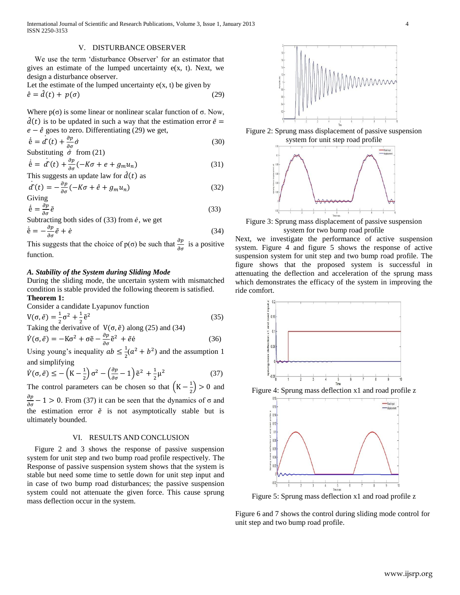International Journal of Scientific and Research Publications, Volume 3, Issue 1, January 2013 4 ISSN 2250-3153

### V. DISTURBANCE OBSERVER

 We use the term 'disturbance Observer' for an estimator that gives an estimate of the lumped uncertainty  $e(x, t)$ . Next, we design a disturbance observer.

Let the estimate of the lumped uncertainty e(x, t) be given by  
\n
$$
\hat{e} = \hat{d}(t) + p(\sigma)
$$
\n(29)

Where  $p(\sigma)$  is some linear or nonlinear scalar function of  $\sigma$ . Now,  $\hat{d}(t)$  is to be updated in such a way that the estimation error  $\tilde{e}$  =  $e - \hat{e}$  goes to zero. Differentiating (29) we get,

$$
\dot{\hat{\mathbf{e}}} = \dot{\mathbf{d}}(t) + \frac{\partial p}{\partial \sigma} \dot{\sigma}
$$
\n(30)

Substituting  $\dot{\sigma}$  from (21)

$$
\dot{\hat{e}} = \dot{d}^r(t) + \frac{\partial p}{\partial \sigma}(-K\sigma + e + g_m u_n)
$$
\n(31)

This suggests an update law for  $\hat{d}(t)$  as

$$
\dot{\vec{a}}(t) = -\frac{\partial p}{\partial \sigma}(-K\sigma + \hat{e} + g_m u_n)
$$
\n(32)

$$
\dot{\hat{\mathbf{e}}} = \frac{\partial p}{\partial \sigma} \tilde{e}
$$
 (33)

Subtracting both sides of  $(33)$  from  $\dot{e}$ , we get

$$
\dot{\tilde{e}} = -\frac{\partial p}{\partial \sigma} \tilde{e} + \dot{e}
$$
 (34)

This suggests that the choice of  $p(\sigma)$  be such that  $\frac{\partial p}{\partial \sigma}$  is a positive function.

# *A. Stability of the System during Sliding Mode*

During the sliding mode, the uncertain system with mismatched condition is stable provided the following theorem is satisfied. **Theorem 1:**

Consider a candidate Lyapunov function

$$
V(\sigma, \tilde{e}) = \frac{1}{2}\sigma^2 + \frac{1}{2}\tilde{e}^2
$$
 (35)  
Taking the derivative of  $V(\sigma, \tilde{e})$  along (25) and (34)

$$
\dot{V}(\sigma, \tilde{e}) = -K\sigma^2 + \sigma \tilde{e} - \frac{\partial p}{\partial \sigma} \tilde{e}^2 + \tilde{e} \dot{e}
$$
\n(36)

Using young's inequality  $ab \leq \frac{1}{2}$  $\frac{1}{2}(a^2 + b^2)$  and the assumption 1 and simplifying

$$
\dot{V}(\sigma, \tilde{e}) \le -\left(K - \frac{1}{2}\right)\sigma^2 - \left(\frac{\partial p}{\partial \sigma} - 1\right)\tilde{e}^2 + \frac{1}{2}\mu^2\tag{37}
$$

The control parameters can be chosen so that  $\left(K - \frac{1}{2}\right)$  $\frac{1}{2}$  > 0 and  $\frac{\partial p}{\partial \sigma} - 1 > 0$ . From (37) it can be seen that the dynamics of  $\sigma$  and the estimation error  $\tilde{e}$  is not asymptotically stable but is ultimately bounded.

### VI. RESULTS AND CONCLUSION

Figure 2 and 3 shows the response of passive suspension system for unit step and two bump road profile respectively. The Response of passive suspension system shows that the system is stable but need some time to settle down for unit step input and in case of two bump road disturbances; the passive suspension system could not attenuate the given force. This cause sprung mass deflection occur in the system.



Figure 2: Sprung mass displacement of passive suspension system for unit step road profile



Figure 3: Sprung mass displacement of passive suspension system for two bump road profile

Next, we investigate the performance of active suspension system. Figure 4 and figure 5 shows the response of active suspension system for unit step and two bump road profile. The figure shows that the proposed system is successful in attenuating the deflection and acceleration of the sprung mass which demonstrates the efficacy of the system in improving the ride comfort.



Figure 4: Sprung mass deflection x1 and road profile z



Figure 5: Sprung mass deflection x1 and road profile z

Figure 6 and 7 shows the control during sliding mode control for unit step and two bump road profile.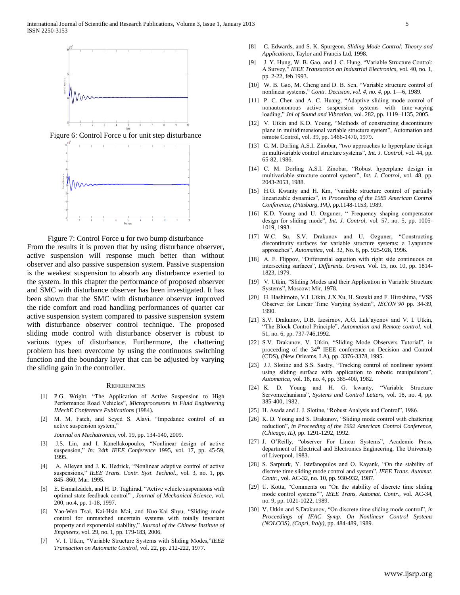

Figure 7: Control Force u for two bump disturbance From the results it is proven that by using disturbance observer, active suspension will response much better than without observer and also passive suspension system. Passive suspension is the weakest suspension to absorb any disturbance exerted to the system. In this chapter the performance of proposed observer and SMC with disturbance observer has been investigated. It has been shown that the SMC with disturbance observer improved the ride comfort and road handling performances of quarter car active suspension system compared to passive suspension system with disturbance observer control technique. The proposed sliding mode control with disturbance observer is robust to various types of disturbance. Furthermore, the chattering problem has been overcome by using the continuous switching function and the boundary layer that can be adjusted by varying

#### **REFERENCES**

the sliding gain in the controller.

- [1] P.G. Wright. "The Application of Active Suspension to High Performance Road Vehicles", *Microprocessors in Fluid Engineering IMechE Conference Publications* (1984).
- [2] M. M. Fateh, and Seyed S. Alavi, "Impedance control of an active suspension system,'

*Journal on Mechatronics*, vol. 19, pp. 134-140, 2009.

- [3] J.S. Lin, and I. Kanellakopoulos, "Nonlinear design of active suspension," *In: 34th IEEE Conference* 1995, vol. 17, pp. 45-59, 1995.
- [4] A. Alleyen and J. K. Hedrick, "Nonlinear adaptive control of active suspensions," *IEEE Trans. Contr. Syst. Technol.*, vol. 3, no. 1, pp. 845–860, Mar. 1995.
- [5] E. Esmailzadeh, and H. D. Taghirad, "Active vehicle suspensions with optimal state feedback control" , *Journal of Mechanical Science*, vol. 200, no.4, pp. 1-18, 1997.
- [6] Yao-Wen Tsai, Kai-Hsin Mai, and Kuo-Kai Shyu, "Sliding mode control for unmatched uncertain systems with totally invariant property and exponential stability," *Journal of the Chinese Institute of Engineers*, vol. 29, no. 1, pp. 179-183, 2006.
- [7] V. I. Utkin, "Variable Structure Systems with Sliding Modes,"*IEEE Transaction on Automatic Control*, vol. 22, pp. 212-222, 1977.
- [8] C. Edwards, and S. K. Spurgeon, *Sliding Mode Control: Theory and Applications*, Taylor and Francis Ltd. 1998.
- [9] J. Y. Hung, W. B. Gao, and J. C. Hung, "Variable Structure Control: A Survey," *IEEE Transaction on Industrial Electronics*, vol. 40, no. 1, pp. 2-22, feb 1993.
- [10] W. B. Gao, M. Cheng and D. B. Sen, "Variable structure control of nonlinear systems," *Contr. Decision, vol. 4, no. 4*, pp. 1—6, 1989.
- [11] P. C. Chen and A. C. Huang, "Adaptive sliding mode control of nonautonomous active suspension systems with time-varying loading," *Jnl of Sound and Vibration*, vol. 282, pp. 1119–1135, 2005.
- [12] V. Utkin and K.D. Young, "Methods of constructing discontinuity plane in multidimensional variable structure system", Automation and remote Control, vol. 39, pp. 1466-1470, 1979.
- [13] C. M. Dorling A.S.I. Zinobar, "two approaches to hyperplane design in multivariable control structure systems", *Int. J. Control,* vol. 44, pp. 65-82, 1986.
- [14] C. M. Dorling A.S.I. Zinobar, "Robust hyperplane design in multivariable structure control system", *Int. J. Control,* vol. 48, pp. 2043-2053, 1988.
- [15] H.G. Kwanty and H. Km, "variable structure control of partially linearizable dynamics", *in Proceeding of the 1989 American Control Conference, (Pittsburg, PA),* pp.1148-1153, 1989.
- [16] K.D. Young and U. Ozguner, " Frequency shaping compensator design for sliding mode", *Int. J. Control,* vol. 57, no. 5, pp. 1005- 1019, 1993.
- [17] W.C. Su, S.V. Drakunov and U. Ozguner, "Constructing discontinuity surfaces for variable structure systems: a Lyapunov approaches", *Automatica,* vol. 32, No. 6, pp. 925-928, 1996.
- [18] A. F. Flippov, "Differential equation with right side continuous on intersecting surfaces", *Differents. Uraven.* Vol. 15, no. 10, pp. 1814- 1823, 1979.
- [19] V. Utkin, "Sliding Modes and their Application in Variable Structure Systems", Moscow: Mir, 1978.
- [20] H. Hashimoto, V.I. Utkin, J.X.Xu, H. Suzuki and F. Hiroshima, "VSS Observer for Linear Time Varying System", *IECON'90* pp. 34-39, 1990.
- [21] S.V. Drakunov, D.B. Izosirnov, A.G. Luk'ayonov and V. I. Utkin, "The Block Control Principle", *Automation and Remote control,* vol. 51, no. 6, pp. 737-746,1992.
- [22] S.V. Drakunov, V. Utkin, "Sliding Mode Observers Tutorial", in proceeding of the 34<sup>th</sup> IEEE conference on Decision and Control (CDS), (New Orleams, LA), pp. 3376-3378, 1995.
- [23] J.J. Slotine and S.S. Sastry, "Tracking control of nonlinear system using sliding surface with application to robotic manipulators", *Automatica,* vol. 18, no. 4, pp. 385-400, 1982.
- [24] K. D. Young and H. G. kwanty, "Variable Structure Servomechanisms", *Systems and Control Letters,* vol. 18, no. 4, pp. 385-400, 1982.
- [25] H. Asada and J. J. Slotine, "Robust Analysis and Control", 1986.
- [26] K. D. Young and S. Drakunov, "Sliding mode control with chattering reduction", *in Proceeding of the 1992 American Control Conference, (Chicago, IL),* pp. 1291-1292, 1992.
- [27] J. O'Reilly, "observer For Linear Systems", Academic Press, department of Electrical and Electronics Engineering, The University of Liverpool, 1983.
- [28] S. Sarpturk, Y. Istefanopulos and O. Kayank, "On the stability of discrete time sliding mode control and system", *IEEE Trans. Automat. Contr.,* vol. AC-32, no. 10, pp. 930-932, 1987.
- [29] U. Kotta, "Comments on "On the stability of discrete time sliding mode control systems"", *IEEE Trans. Automat. Contr.,* vol. AC-34, no. 9, pp. 1021-1022, 1989.
- [30] V. Utkin and S.Drakunov, "On discrete time sliding mode control", *in Proceedings of IFAC Symp. On Nonlinear Control Systems (NOLCOS), (Capri, Italy),* pp. 484-489, 1989.